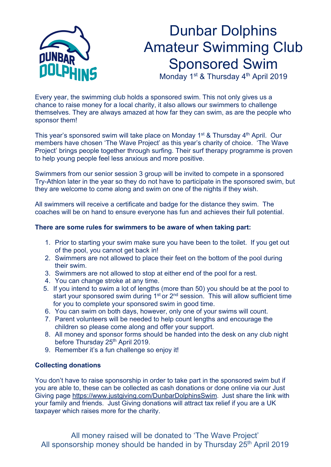

## Dunbar Dolphins Amateur Swimming Club Sponsored Swim

Monday 1<sup>st</sup> & Thursday 4<sup>th</sup> April 2019

Every year, the swimming club holds a sponsored swim. This not only gives us a chance to raise money for a local charity, it also allows our swimmers to challenge themselves. They are always amazed at how far they can swim, as are the people who sponsor them!

This year's sponsored swim will take place on Monday 1<sup>st</sup> & Thursday 4<sup>th</sup> April. Our members have chosen 'The Wave Project' as this year's charity of choice. 'The Wave Project' brings people together through surfing. Their surf therapy programme is proven to help young people feel less anxious and more positive.

Swimmers from our senior session 3 group will be invited to compete in a sponsored Try-Athlon later in the year so they do not have to participate in the sponsored swim, but they are welcome to come along and swim on one of the nights if they wish.

All swimmers will receive a certificate and badge for the distance they swim. The coaches will be on hand to ensure everyone has fun and achieves their full potential.

## **There are some rules for swimmers to be aware of when taking part:**

- 1. Prior to starting your swim make sure you have been to the toilet. If you get out of the pool, you cannot get back in!
- 2. Swimmers are not allowed to place their feet on the bottom of the pool during their swim.
- 3. Swimmers are not allowed to stop at either end of the pool for a rest.
- 4. You can change stroke at any time.
- 5. If you intend to swim a lot of lengths (more than 50) you should be at the pool to start your sponsored swim during 1<sup>st</sup> or 2<sup>nd</sup> session. This will allow sufficient time for you to complete your sponsored swim in good time.
- 6. You can swim on both days, however, only one of your swims will count.
- 7. Parent volunteers will be needed to help count lengths and encourage the children so please come along and offer your support.
- 8. All money and sponsor forms should be handed into the desk on any club night before Thursday 25<sup>th</sup> April 2019.
- 9. Remember it's a fun challenge so enjoy it!

## **Collecting donations**

You don't have to raise sponsorship in order to take part in the sponsored swim but if you are able to, these can be collected as cash donations or done online via our Just Giving page https://www.justgiving.com/DunbarDolphinsSwim. Just share the link with your family and friends. Just Giving donations will attract tax relief if you are a UK taxpayer which raises more for the charity.